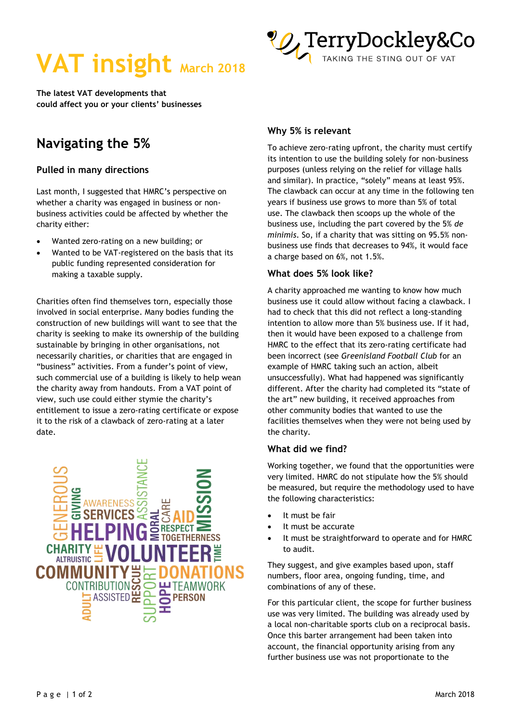



**The latest VAT developments that could affect you or your clients' businesses** 

# **Navigating the 5%**

### **Pulled in many directions**

Last month, I suggested that HMRC's perspective on whether a charity was engaged in business or nonbusiness activities could be affected by whether the charity either:

- Wanted zero-rating on a new building; or
- Wanted to be VAT-registered on the basis that its public funding represented consideration for making a taxable supply.

Charities often find themselves torn, especially those involved in social enterprise. Many bodies funding the construction of new buildings will want to see that the charity is seeking to make its ownership of the building sustainable by bringing in other organisations, not necessarily charities, or charities that are engaged in "business" activities. From a funder's point of view, such commercial use of a building is likely to help wean the charity away from handouts. From a VAT point of view, such use could either stymie the charity's entitlement to issue a zero-rating certificate or expose it to the risk of a clawback of zero-rating at a later date.



## **Why 5% is relevant**

To achieve zero-rating upfront, the charity must certify its intention to use the building solely for non-business purposes (unless relying on the relief for village halls and similar). In practice, "solely" means at least 95%. The clawback can occur at any time in the following ten years if business use grows to more than 5% of total use. The clawback then scoops up the whole of the business use, including the part covered by the 5% *de minimis*. So, if a charity that was sitting on 95.5% nonbusiness use finds that decreases to 94%, it would face a charge based on 6%, not 1.5%.

#### **What does 5% look like?**

A charity approached me wanting to know how much business use it could allow without facing a clawback. I had to check that this did not reflect a long-standing intention to allow more than 5% business use. If it had, then it would have been exposed to a challenge from HMRC to the effect that its zero-rating certificate had been incorrect (see *Greenisland Football Club* for an example of HMRC taking such an action, albeit unsuccessfully). What had happened was significantly different. After the charity had completed its "state of the art" new building, it received approaches from other community bodies that wanted to use the facilities themselves when they were not being used by the charity.

#### **What did we find?**

Working together, we found that the opportunities were very limited. HMRC do not stipulate how the 5% should be measured, but require the methodology used to have the following characteristics:

- It must be fair
- It must be accurate
- It must be straightforward to operate and for HMRC to audit.

They suggest, and give examples based upon, staff numbers, floor area, ongoing funding, time, and combinations of any of these.

For this particular client, the scope for further business use was very limited. The building was already used by a local non-charitable sports club on a reciprocal basis. Once this barter arrangement had been taken into account, the financial opportunity arising from any further business use was not proportionate to the